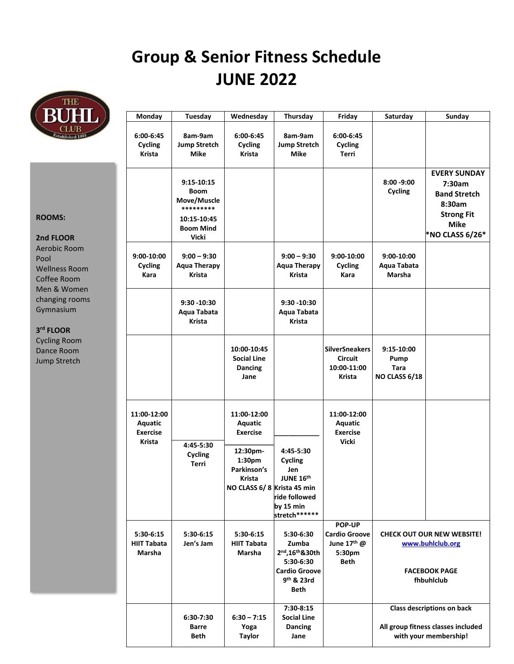## **Group & Senior Fitness Schedule JUNE 2022**



| <b>BUHL</b> )                                                                                                                                                                                             | Monday                                              | Tuesday                                                                                           | Wednesday                                                                                                                     | Thursday                                                                                          | Friday                                                                 | Saturday                                                                                                                                                                                        | Sunday                                                                                                                |
|-----------------------------------------------------------------------------------------------------------------------------------------------------------------------------------------------------------|-----------------------------------------------------|---------------------------------------------------------------------------------------------------|-------------------------------------------------------------------------------------------------------------------------------|---------------------------------------------------------------------------------------------------|------------------------------------------------------------------------|-------------------------------------------------------------------------------------------------------------------------------------------------------------------------------------------------|-----------------------------------------------------------------------------------------------------------------------|
| Established 1903                                                                                                                                                                                          | 6:00-6:45<br>Cycling<br>Krista                      | 8am-9am<br><b>Jump Stretch</b><br><b>Mike</b>                                                     | 6:00-6:45<br>Cycling<br>Krista                                                                                                | 8am-9am<br><b>Jump Stretch</b><br><b>Mike</b>                                                     | $6:00-6:45$<br>Cycling<br>Terri                                        |                                                                                                                                                                                                 |                                                                                                                       |
| <b>ROOMS:</b><br>2nd FLOOR<br>Aerobic Room<br>Pool<br><b>Wellness Room</b><br>Coffee Room<br>Men & Women<br>changing rooms<br>Gymnasium<br>3rd FLOOR<br><b>Cycling Room</b><br>Dance Room<br>Jump Stretch |                                                     | 9:15-10:15<br><b>Boom</b><br>Move/Muscle<br>*********<br>10:15-10:45<br><b>Boom Mind</b><br>Vicki |                                                                                                                               |                                                                                                   |                                                                        | $8:00 - 9:00$<br>Cycling                                                                                                                                                                        | <b>EVERY SUNDAY</b><br>7:30am<br><b>Band Stretch</b><br>8:30am<br><b>Strong Fit</b><br><b>Mike</b><br>*NO CLASS 6/26* |
|                                                                                                                                                                                                           | 9:00-10:00<br>Cycling<br>Kara                       | $9:00 - 9:30$<br><b>Aqua Therapy</b><br>Krista                                                    |                                                                                                                               | $9:00 - 9:30$<br><b>Aqua Therapy</b><br><b>Krista</b>                                             | 9:00-10:00<br>Cycling<br>Kara                                          | 9:00-10:00<br>Aqua Tabata<br>Marsha                                                                                                                                                             |                                                                                                                       |
|                                                                                                                                                                                                           |                                                     | $9:30 - 10:30$<br>Aqua Tabata<br>Krista                                                           |                                                                                                                               | $9:30 - 10:30$<br>Aqua Tabata<br><b>Krista</b>                                                    |                                                                        |                                                                                                                                                                                                 |                                                                                                                       |
|                                                                                                                                                                                                           |                                                     |                                                                                                   | 10:00-10:45<br><b>Social Line</b><br>Dancing<br>Jane                                                                          |                                                                                                   | <b>SilverSneakers</b><br><b>Circuit</b><br>10:00-11:00<br>Krista       | 9:15-10:00<br>Pump<br>Tara<br>NO CLASS 6/18                                                                                                                                                     |                                                                                                                       |
|                                                                                                                                                                                                           | 11:00-12:00<br>Aquatic<br><b>Exercise</b><br>Krista | 4:45-5:30<br><b>Cycling</b><br>Terri                                                              | 11:00-12:00<br><b>Aquatic</b><br><b>Exercise</b><br>12:30pm-<br>1:30pm<br>Parkinson's<br>Krista<br>NO CLASS 6/8 Krista 45 min | 4:45-5:30<br>Cycling<br>Jen<br>JUNE 16th<br>ride followed<br>by 15 min<br>stretch******           | 11:00-12:00<br>Aquatic<br><b>Exercise</b><br><b>Vicki</b>              |                                                                                                                                                                                                 |                                                                                                                       |
|                                                                                                                                                                                                           | 5:30-6:15<br><b>HIIT Tabata</b><br>Marsha           | 5:30-6:15<br>Jen's Jam                                                                            | 5:30-6:15<br><b>HIIT Tabata</b><br>Marsha                                                                                     | 5:30-6:30<br>Zumba<br>2nd, 16th & 30th<br>5:30-6:30<br><b>Cardio Groove</b><br>9th & 23rd<br>Beth | <b>POP-UP</b><br><b>Cardio Groove</b><br>June 17th @<br>5:30pm<br>Beth | <b>CHECK OUT OUR NEW WEBSITE!</b><br>www.buhlclub.org<br><b>FACEBOOK PAGE</b><br>fhbuhlclub<br><b>Class descriptions on back</b><br>All group fitness classes included<br>with your membership! |                                                                                                                       |
|                                                                                                                                                                                                           |                                                     | 6:30-7:30<br>Barre<br>Beth                                                                        | $6:30 - 7:15$<br>Yoga<br><b>Taylor</b>                                                                                        | 7:30-8:15<br><b>Social Line</b><br>Dancing<br>Jane                                                |                                                                        |                                                                                                                                                                                                 |                                                                                                                       |